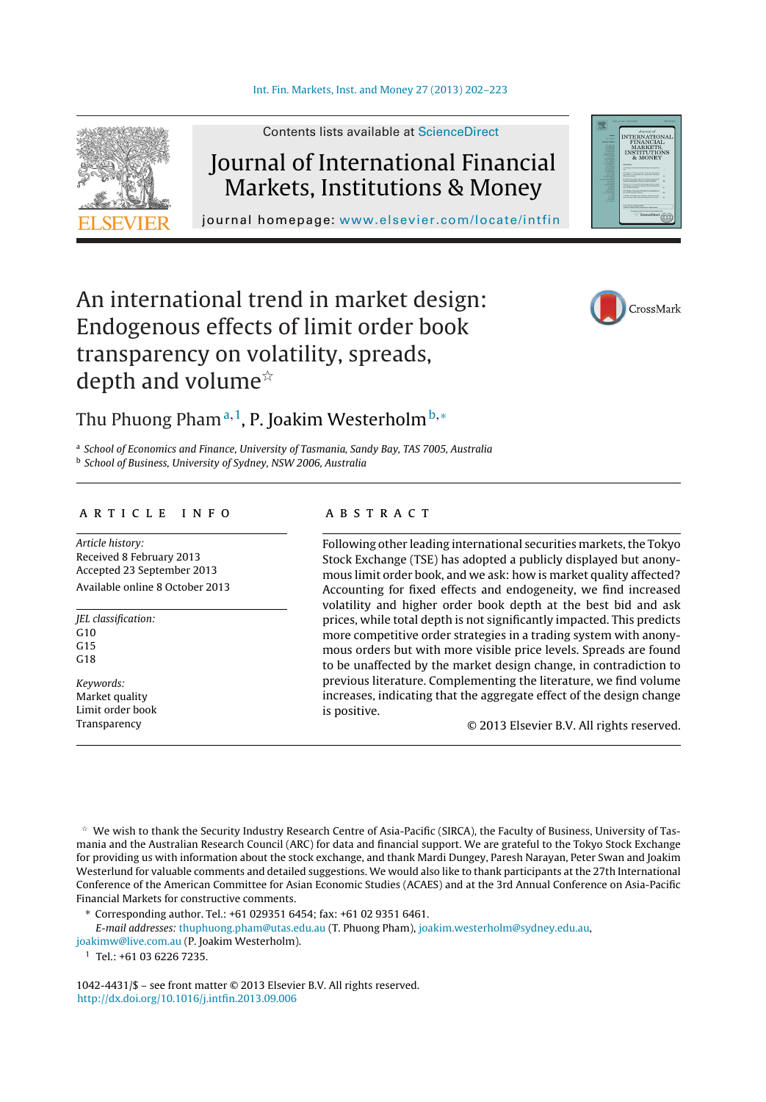

Contents lists available at [ScienceDirect](http://www.sciencedirect.com/science/journal/10424431)

## Journal of International Financial Markets, Institutions & Money

journal homepage: [www.elsevier.com/locate/intfin](http://www.elsevier.com/locate/intfin)



# An international trend in market design: Endogenous effects of limit order book transparency on volatility, spreads, depth and volume $\mathbb{\mathbb{R}}$



### Thu Phuong Pham<sup>a,1</sup>, P. Joakim Westerholm<sup>b,\*</sup>

a School of Economics and Finance, University of Tasmania, Sandy Bay, TAS 7005, Australia

**b** School of Business, University of Sydney, NSW 2006, Australia

#### a r t i c l e i n f o

Article history: Received 8 February 2013 Accepted 23 September 2013 Available online 8 October 2013

JEL classification: G10  $G<sub>15</sub>$ G18

Keywords: Market quality Limit order book Transparency

#### A B S T R A C T

Following other leading international securities markets, the Tokyo Stock Exchange (TSE) has adopted a publicly displayed but anonymous limit order book, and we ask: how is market quality affected? Accounting for fixed effects and endogeneity, we find increased volatility and higher order book depth at the best bid and ask prices, while total depth is not significantly impacted. This predicts more competitive order strategies in a trading system with anonymous orders but with more visible price levels. Spreads are found to be unaffected by the market design change, in contradiction to previous literature. Complementing the literature, we find volume increases, indicating that the aggregate effect of the design change is positive.

© 2013 Elsevier B.V. All rights reserved.

 $^{\ast}$  We wish to thank the Security Industry Research Centre of Asia-Pacific (SIRCA), the Faculty of Business, University of Tasmania and the Australian Research Council (ARC) for data and financial support. We are grateful to the Tokyo Stock Exchange for providing us with information about the stock exchange, and thank Mardi Dungey, Paresh Narayan, Peter Swan and Joakim Westerlund for valuable comments and detailed suggestions. We would also like to thank participants at the 27th International Conference of the American Committee for Asian Economic Studies (ACAES) and at the 3rd Annual Conference on Asia-Pacific Financial Markets for constructive comments.

∗ Corresponding author. Tel.: +61 029351 6454; fax: +61 02 9351 6461.

E-mail addresses: [thuphuong.pham@utas.edu.au](mailto:thuphuong.pham@utas.edu.au) (T. Phuong Pham), [joakim.westerholm@sydney.edu.au,](mailto:joakim.westerholm@sydney.edu.au)

[joakimw@live.com.au](mailto:joakimw@live.com.au) (P. Joakim Westerholm).

<sup>1</sup> Tel.: +61 03 6226 7235.

1042-4431/\$ – see front matter © 2013 Elsevier B.V. All rights reserved. [http://dx.doi.org/10.1016/j.intfin.2013.09.006](dx.doi.org/10.1016/j.intfin.2013.09.006)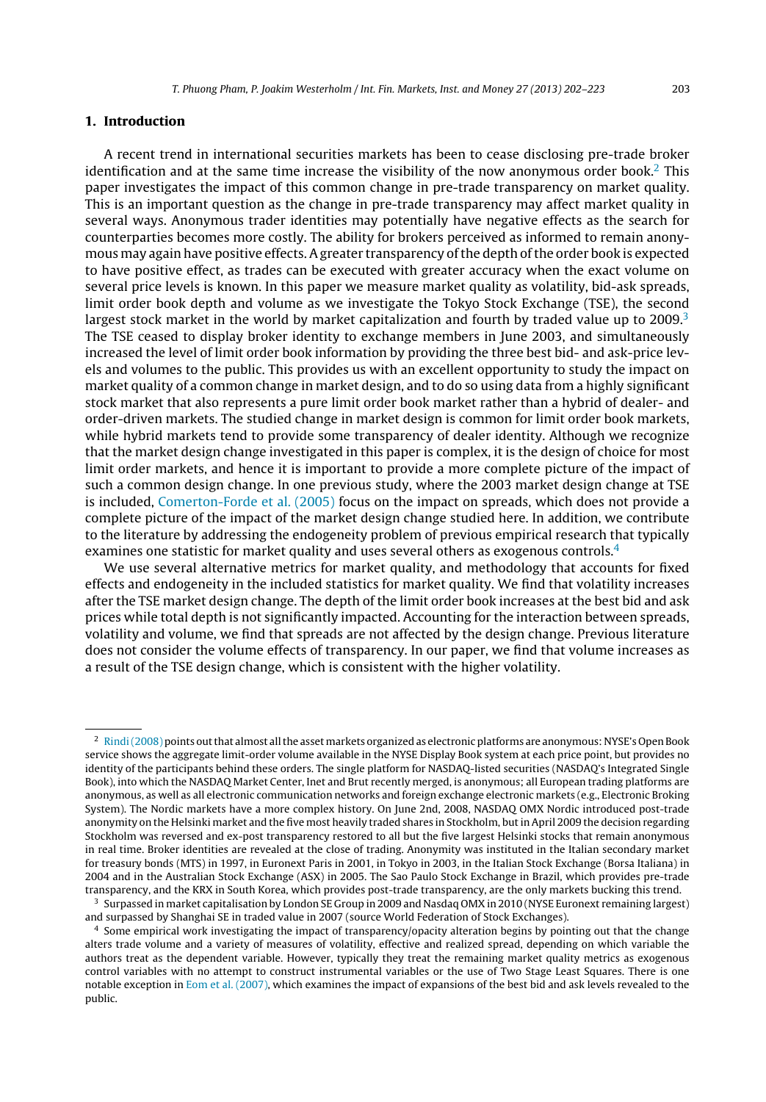#### **1. Introduction**

A recent trend in international securities markets has been to cease disclosing pre-trade broker identification and at the same time increase the visibility of the now anonymous order book.<sup>2</sup> This paper investigates the impact of this common change in pre-trade transparency on market quality. This is an important question as the change in pre-trade transparency may affect market quality in several ways. Anonymous trader identities may potentially have negative effects as the search for counterparties becomes more costly. The ability for brokers perceived as informed to remain anonymous may again have positive effects. A greater transparency ofthe depth ofthe order book is expected to have positive effect, as trades can be executed with greater accuracy when the exact volume on several price levels is known. In this paper we measure market quality as volatility, bid-ask spreads, limit order book depth and volume as we investigate the Tokyo Stock Exchange (TSE), the second largest stock market in the world by market capitalization and fourth by traded value up to  $2009.3$ The TSE ceased to display broker identity to exchange members in June 2003, and simultaneously increased the level of limit order book information by providing the three best bid- and ask-price levels and volumes to the public. This provides us with an excellent opportunity to study the impact on market quality of a common change in market design, and to do so using data from a highly significant stock market that also represents a pure limit order book market rather than a hybrid of dealer- and order-driven markets. The studied change in market design is common for limit order book markets, while hybrid markets tend to provide some transparency of dealer identity. Although we recognize that the market design change investigated in this paper is complex, it is the design of choice for most limit order markets, and hence it is important to provide a more complete picture of the impact of such a common design change. In one previous study, where the 2003 market design change at TSE is included, [Comerton-Forde](#page--1-0) et [al.](#page--1-0) [\(2005\)](#page--1-0) focus on the impact on spreads, which does not provide a complete picture of the impact of the market design change studied here. In addition, we contribute to the literature by addressing the endogeneity problem of previous empirical research that typically examines one statistic for market quality and uses several others as exogenous controls.<sup>4</sup>

We use several alternative metrics for market quality, and methodology that accounts for fixed effects and endogeneity in the included statistics for market quality. We find that volatility increases after the TSE market design change. The depth of the limit order book increases at the best bid and ask prices while total depth is not significantly impacted. Accounting for the interaction between spreads, volatility and volume, we find that spreads are not affected by the design change. Previous literature does not consider the volume effects of transparency. In our paper, we find that volume increases as a result of the TSE design change, which is consistent with the higher volatility.

 $2 \text{ Rindi}$  (2008) points out that almost all the asset markets organized as electronic platforms are anonymous: NYSE's Open Book service shows the aggregate limit-order volume available in the NYSE Display Book system at each price point, but provides no identity of the participants behind these orders. The single platform for NASDAQ-listed securities (NASDAQ's Integrated Single Book), into which the NASDAQ Market Center, Inet and Brut recently merged, is anonymous; all European trading platforms are anonymous, as well as all electronic communication networks and foreign exchange electronic markets (e.g., Electronic Broking System). The Nordic markets have a more complex history. On June 2nd, 2008, NASDAQ OMX Nordic introduced post-trade anonymity on the Helsinki market and the five most heavily traded shares in Stockholm, butin April 2009 the decision regarding Stockholm was reversed and ex-post transparency restored to all but the five largest Helsinki stocks that remain anonymous in real time. Broker identities are revealed at the close of trading. Anonymity was instituted in the Italian secondary market for treasury bonds (MTS) in 1997, in Euronext Paris in 2001, in Tokyo in 2003, in the Italian Stock Exchange (Borsa Italiana) in 2004 and in the Australian Stock Exchange (ASX) in 2005. The Sao Paulo Stock Exchange in Brazil, which provides pre-trade transparency, and the KRX in South Korea, which provides post-trade transparency, are the only markets bucking this trend.

 $^3\,$  Surpassed in market capitalisation by London SE Group in 2009 and Nasdaq OMX in 2010 (NYSE Euronext remaining largest) and surpassed by Shanghai SE in traded value in 2007 (source World Federation of Stock Exchanges).

 $4$  Some empirical work investigating the impact of transparency/opacity alteration begins by pointing out that the change alters trade volume and a variety of measures of volatility, effective and realized spread, depending on which variable the authors treat as the dependent variable. However, typically they treat the remaining market quality metrics as exogenous control variables with no attempt to construct instrumental variables or the use of Two Stage Least Squares. There is one notable exception in [Eom](#page--1-0) et [al.](#page--1-0) [\(2007\),](#page--1-0) which examines the impact of expansions of the best bid and ask levels revealed to the public.